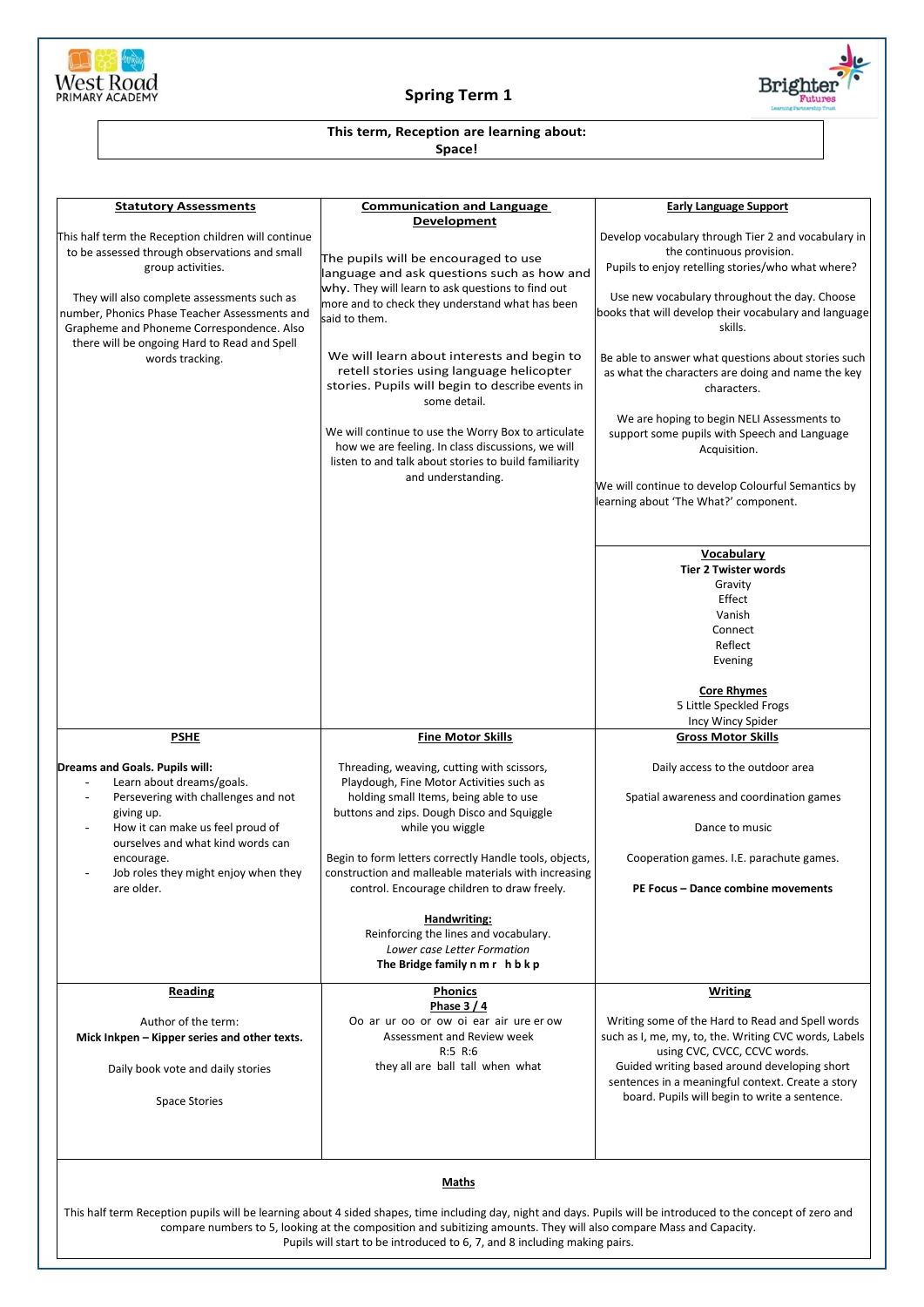

## **Spring Term 1**



## **This term, Reception are learning about:**

**Space!**

| <b>Statutory Assessments</b>                                                                                                                                                                                                                                                                                                                                                | <b>Communication and Language</b><br>Development                                                                                                                                                                                                                                                                                                                                                                                                                                                                                                                     | <b>Early Language Support</b>                                                                                                                                                                                                                                                                                                                                                                                                                                                                                                                                                                                                                                                                                                         |  |
|-----------------------------------------------------------------------------------------------------------------------------------------------------------------------------------------------------------------------------------------------------------------------------------------------------------------------------------------------------------------------------|----------------------------------------------------------------------------------------------------------------------------------------------------------------------------------------------------------------------------------------------------------------------------------------------------------------------------------------------------------------------------------------------------------------------------------------------------------------------------------------------------------------------------------------------------------------------|---------------------------------------------------------------------------------------------------------------------------------------------------------------------------------------------------------------------------------------------------------------------------------------------------------------------------------------------------------------------------------------------------------------------------------------------------------------------------------------------------------------------------------------------------------------------------------------------------------------------------------------------------------------------------------------------------------------------------------------|--|
| This half term the Reception children will continue<br>to be assessed through observations and small<br>group activities.<br>They will also complete assessments such as<br>number, Phonics Phase Teacher Assessments and<br>Grapheme and Phoneme Correspondence. Also<br>there will be ongoing Hard to Read and Spell<br>words tracking.                                   | The pupils will be encouraged to use<br>language and ask questions such as how and<br>why. They will learn to ask questions to find out<br>more and to check they understand what has been<br>said to them.<br>We will learn about interests and begin to<br>retell stories using language helicopter<br>stories. Pupils will begin to describe events in<br>some detail.<br>We will continue to use the Worry Box to articulate<br>how we are feeling. In class discussions, we will<br>listen to and talk about stories to build familiarity<br>and understanding. | Develop vocabulary through Tier 2 and vocabulary in<br>the continuous provision.<br>Pupils to enjoy retelling stories/who what where?<br>Use new vocabulary throughout the day. Choose<br>books that will develop their vocabulary and language<br>skills.<br>Be able to answer what questions about stories such<br>as what the characters are doing and name the key<br>characters.<br>We are hoping to begin NELI Assessments to<br>support some pupils with Speech and Language<br>Acquisition.<br>We will continue to develop Colourful Semantics by<br>learning about 'The What?' component.<br>Vocabulary<br><b>Tier 2 Twister words</b><br>Gravity<br>Effect<br>Vanish<br>Connect<br>Reflect<br>Evening<br><b>Core Rhymes</b> |  |
|                                                                                                                                                                                                                                                                                                                                                                             |                                                                                                                                                                                                                                                                                                                                                                                                                                                                                                                                                                      | 5 Little Speckled Frogs                                                                                                                                                                                                                                                                                                                                                                                                                                                                                                                                                                                                                                                                                                               |  |
| <b>PSHE</b>                                                                                                                                                                                                                                                                                                                                                                 | <b>Fine Motor Skills</b>                                                                                                                                                                                                                                                                                                                                                                                                                                                                                                                                             | Incy Wincy Spider<br><b>Gross Motor Skills</b>                                                                                                                                                                                                                                                                                                                                                                                                                                                                                                                                                                                                                                                                                        |  |
| Dreams and Goals. Pupils will:<br>Learn about dreams/goals.<br>Persevering with challenges and not<br>L.<br>giving up.<br>How it can make us feel proud of<br>ourselves and what kind words can<br>encourage.<br>Job roles they might enjoy when they<br>are older.                                                                                                         | Threading, weaving, cutting with scissors,<br>Playdough, Fine Motor Activities such as<br>holding small Items, being able to use<br>buttons and zips. Dough Disco and Squiggle<br>while you wiggle<br>Begin to form letters correctly Handle tools, objects,<br>construction and malleable materials with increasing<br>control. Encourage children to draw freely.<br><b>Handwriting:</b><br>Reinforcing the lines and vocabulary.<br>Lower case Letter Formation<br>The Bridge family n m r h b k p                                                                | Daily access to the outdoor area<br>Spatial awareness and coordination games<br>Dance to music<br>Cooperation games. I.E. parachute games.<br>PE Focus - Dance combine movements                                                                                                                                                                                                                                                                                                                                                                                                                                                                                                                                                      |  |
| <b>Reading</b><br>Author of the term:<br>Mick Inkpen - Kipper series and other texts.<br>Daily book vote and daily stories<br><b>Space Stories</b>                                                                                                                                                                                                                          | <u>Phonics</u><br>Phase $3/4$<br>Oo ar ur oo or ow oi ear air ure er ow<br>Assessment and Review week<br>R:5 R:6<br>they all are ball tall when what                                                                                                                                                                                                                                                                                                                                                                                                                 | <b>Writing</b><br>Writing some of the Hard to Read and Spell words<br>such as I, me, my, to, the. Writing CVC words, Labels<br>using CVC, CVCC, CCVC words.<br>Guided writing based around developing short<br>sentences in a meaningful context. Create a story<br>board. Pupils will begin to write a sentence.                                                                                                                                                                                                                                                                                                                                                                                                                     |  |
|                                                                                                                                                                                                                                                                                                                                                                             |                                                                                                                                                                                                                                                                                                                                                                                                                                                                                                                                                                      |                                                                                                                                                                                                                                                                                                                                                                                                                                                                                                                                                                                                                                                                                                                                       |  |
| Maths<br>This half term Reception pupils will be learning about 4 sided shapes, time including day, night and days. Pupils will be introduced to the concept of zero and<br>compare numbers to 5, looking at the composition and subitizing amounts. They will also compare Mass and Capacity.<br>Pupils will start to be introduced to 6, 7, and 8 including making pairs. |                                                                                                                                                                                                                                                                                                                                                                                                                                                                                                                                                                      |                                                                                                                                                                                                                                                                                                                                                                                                                                                                                                                                                                                                                                                                                                                                       |  |